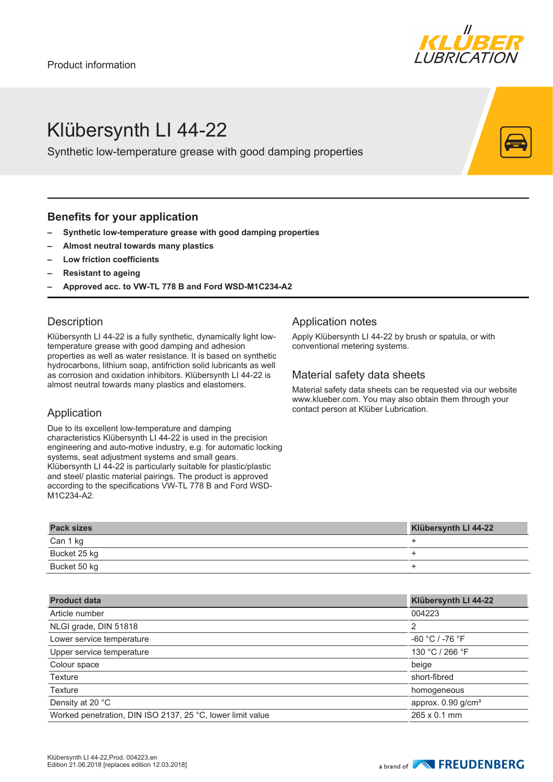

# Klübersynth LI 44-22

Synthetic low-temperature grease with good damping properties

### **Benefits for your application**

- **– Synthetic low-temperature grease with good damping properties**
- **– Almost neutral towards many plastics**
- **– Low friction coefficients**
- **– Resistant to ageing**
- **– Approved acc. to VW-TL 778 B and Ford WSD-M1C234-A2**

### **Description**

Klübersynth LI 44-22 is a fully synthetic, dynamically light lowtemperature grease with good damping and adhesion properties as well as water resistance. It is based on synthetic hydrocarbons, lithium soap, antifriction solid lubricants as well as corrosion and oxidation inhibitors. Klübersynth LI 44-22 is almost neutral towards many plastics and elastomers.

# Application

Due to its excellent low-temperature and damping characteristics Klübersynth LI 44-22 is used in the precision engineering and auto-motive industry, e.g. for automatic locking systems, seat adjustment systems and small gears. Klübersynth LI 44-22 is particularly suitable for plastic/plastic and steel/ plastic material pairings. The product is approved according to the specifications VW-TL 778 B and Ford WSD-M1C234-A2.

# Application notes

Apply Klübersynth LI 44-22 by brush or spatula, or with conventional metering systems.

### Material safety data sheets

Material safety data sheets can be requested via our website www.klueber.com. You may also obtain them through your contact person at Klüber Lubrication.

| <b>Pack sizes</b> | Klübersynth LI 44-22 |
|-------------------|----------------------|
| Can 1 kg          |                      |
| Bucket 25 kg      |                      |
| Bucket 50 kg      |                      |

| <b>Product data</b>                                        | Klübersynth LI 44-22             |
|------------------------------------------------------------|----------------------------------|
| Article number                                             | 004223                           |
| NLGI grade, DIN 51818                                      | 2                                |
| Lower service temperature                                  | $-60 °C$ / $-76 °F$              |
| Upper service temperature                                  | 130 °C / 266 °F                  |
| Colour space                                               | beige                            |
| <b>Texture</b>                                             | short-fibred                     |
| <b>Texture</b>                                             | homogeneous                      |
| Density at 20 °C                                           | approx. $0.90$ g/cm <sup>3</sup> |
| Worked penetration, DIN ISO 2137, 25 °C, lower limit value | $265 \times 0.1$ mm              |